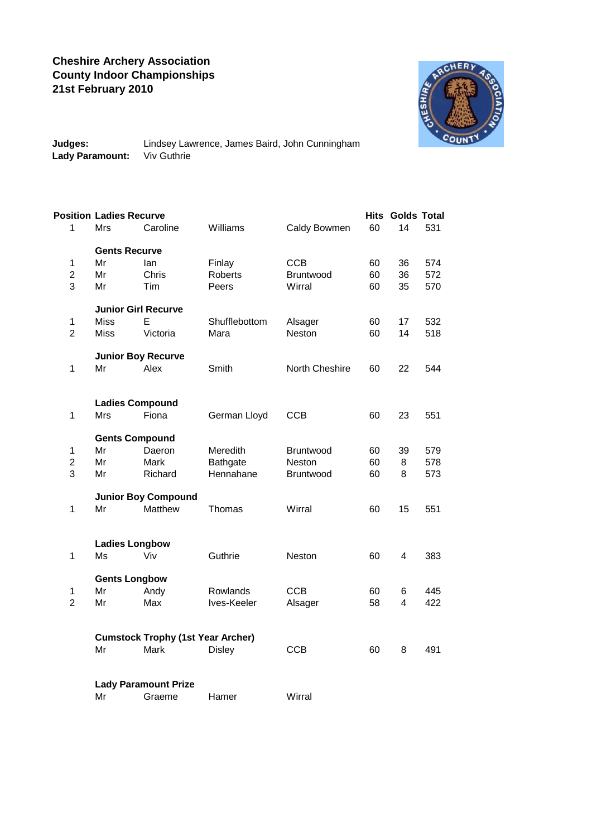## **Cheshire Archery Association County Indoor Championships 21st February 2010**



**Judges:** Lindsey Lawrence, James Baird, John Cunningham **Lady Paramount:** Viv Guthrie

|                | <b>Position Ladies Recurve</b>           |          |                 |                |    | <b>Hits Golds Total</b> |     |  |  |  |  |  |
|----------------|------------------------------------------|----------|-----------------|----------------|----|-------------------------|-----|--|--|--|--|--|
| $\mathbf{1}$   | Mrs                                      | Caroline | Williams        | Caldy Bowmen   | 60 | 14                      | 531 |  |  |  |  |  |
|                | <b>Gents Recurve</b>                     |          |                 |                |    |                         |     |  |  |  |  |  |
| $\mathbf{1}$   | Mr                                       | lan      | Finlay          | <b>CCB</b>     | 60 | 36                      | 574 |  |  |  |  |  |
| $\overline{c}$ | Mr                                       | Chris    | Roberts         | Bruntwood      | 60 | 36                      | 572 |  |  |  |  |  |
| 3              | Mr                                       | Tim      | Peers           | Wirral         | 60 | 35                      | 570 |  |  |  |  |  |
|                | <b>Junior Girl Recurve</b>               |          |                 |                |    |                         |     |  |  |  |  |  |
| $\mathbf 1$    | <b>Miss</b>                              | E        | Shufflebottom   | Alsager        | 60 | 17                      | 532 |  |  |  |  |  |
| $\overline{2}$ | <b>Miss</b>                              | Victoria | Mara            | Neston         | 60 | 14                      | 518 |  |  |  |  |  |
|                | <b>Junior Boy Recurve</b>                |          |                 |                |    |                         |     |  |  |  |  |  |
| $\mathbf 1$    | Mr                                       | Alex     | Smith           | North Cheshire | 60 | 22                      | 544 |  |  |  |  |  |
|                | <b>Ladies Compound</b>                   |          |                 |                |    |                         |     |  |  |  |  |  |
| $\mathbf 1$    | Mrs                                      | Fiona    |                 | <b>CCB</b>     |    |                         | 551 |  |  |  |  |  |
|                |                                          |          | German Lloyd    |                | 60 | 23                      |     |  |  |  |  |  |
|                | <b>Gents Compound</b>                    |          |                 |                |    |                         |     |  |  |  |  |  |
| $\mathbf{1}$   | Mr                                       | Daeron   | Meredith        | Bruntwood      | 60 | 39                      | 579 |  |  |  |  |  |
| $\overline{2}$ | Mr                                       | Mark     | <b>Bathgate</b> | Neston         | 60 | 8                       | 578 |  |  |  |  |  |
| 3              | Mr                                       | Richard  | Hennahane       | Bruntwood      | 60 | 8                       | 573 |  |  |  |  |  |
|                | <b>Junior Boy Compound</b>               |          |                 |                |    |                         |     |  |  |  |  |  |
| $\mathbf 1$    | Mr                                       | Matthew  | Thomas          | Wirral         | 60 | 15                      | 551 |  |  |  |  |  |
|                | <b>Ladies Longbow</b>                    |          |                 |                |    |                         |     |  |  |  |  |  |
| 1              | Ms                                       | Viv      | Guthrie         | Neston         | 60 | 4                       | 383 |  |  |  |  |  |
|                |                                          |          |                 |                |    |                         |     |  |  |  |  |  |
|                | <b>Gents Longbow</b>                     |          |                 |                |    |                         |     |  |  |  |  |  |
| $\mathbf 1$    | Mr                                       | Andy     | Rowlands        | <b>CCB</b>     | 60 | 6                       | 445 |  |  |  |  |  |
| $\overline{2}$ | Mr                                       | Max      | Ives-Keeler     | Alsager        | 58 | 4                       | 422 |  |  |  |  |  |
|                | <b>Cumstock Trophy (1st Year Archer)</b> |          |                 |                |    |                         |     |  |  |  |  |  |
|                | Mr                                       | Mark     | <b>Disley</b>   | <b>CCB</b>     | 60 | 8                       | 491 |  |  |  |  |  |
|                |                                          |          |                 |                |    |                         |     |  |  |  |  |  |
|                | <b>Lady Paramount Prize</b>              |          |                 |                |    |                         |     |  |  |  |  |  |
|                | Mr                                       | Graeme   | Hamer           | Wirral         |    |                         |     |  |  |  |  |  |